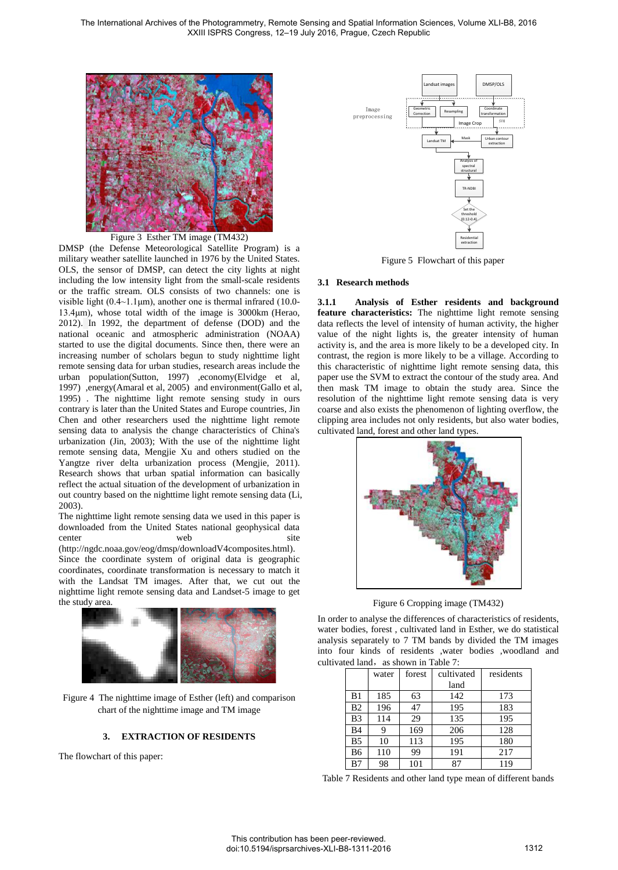

Figure 3 Esther TM image (TM432)

DMSP (the Defense Meteorological Satellite Program) is a military weather satellite launched in 1976 by the United States. OLS, the sensor of DMSP, can detect the city lights at night including the low intensity light from the small-scale residents or the traffic stream. OLS consists of two channels: one is visible light  $(0.4 \sim 1.1 \,\text{\mu m})$ , another one is thermal infrared  $(10.0 -$ 13.4μm), whose total width of the image is 3000km (Herao, 2012). In 1992, the department of defense (DOD) and the national oceanic and atmospheric administration (NOAA) started to use the digital documents. Since then, there were an increasing number of scholars begun to study nighttime light remote sensing data for urban studies, research areas include the urban population(Sutton, 1997) ,economy(Elvidge et al, 1997) ,energy(Amaral et al, 2005) and environment(Gallo et al, 1995) . The nighttime light remote sensing study in ours contrary is later than the United States and Europe countries, Jin Chen and other researchers used the nighttime light remote sensing data to analysis the change characteristics of China's urbanization (Jin, 2003); With the use of the nighttime light remote sensing data, Mengjie Xu and others studied on the Yangtze river delta urbanization process (Mengjie, 2011). Research shows that urban spatial information can basically reflect the actual situation of the development of urbanization in out country based on the nighttime light remote sensing data (Li, 2003).

The nighttime light remote sensing data we used in this paper is downloaded from the United States national geophysical data center web site

[\(http://ngdc.noaa.gov/eog/dmsp/downloadV4composites.html\)](http://ngdc.noaa.gov/eog/dmsp/downloadV4composites.html). Since the coordinate system of original data is geographic coordinates, coordinate transformation is necessary to match it with the Landsat TM images. After that, we cut out the nighttime light remote sensing data and Landset-5 image to get the study area.



Figure 4 The nighttime image of Esther (left) and comparison chart of the nighttime image and TM image

## **3. EXTRACTION OF RESIDENTS**

The flowchart of this paper:



Figure 5 Flowchart of this paper

## **3.1 Research methods**

**3.1.1 Analysis of Esther residents and background feature characteristics:** The nighttime light remote sensing data reflects the level of intensity of human activity, the higher value of the night lights is, the greater intensity of human activity is, and the area is more likely to be a developed city. In contrast, the region is more likely to be a village. According to this characteristic of nighttime light remote sensing data, this paper use the SVM to extract the contour of the study area. And then mask TM image to obtain the study area. Since the resolution of the nighttime light remote sensing data is very coarse and also exists the phenomenon of lighting overflow, the clipping area includes not only residents, but also water bodies, cultivated land, forest and other land types.



Figure 6 Cropping image (TM432)

In order to analyse the differences of characteristics of residents, water bodies, forest , cultivated land in Esther, we do statistical analysis separately to 7 TM bands by divided the TM images into four kinds of residents ,water bodies ,woodland and cultivated land, as shown in Table 7:

|                | water | forest | cultivated | residents |
|----------------|-------|--------|------------|-----------|
|                |       |        | land       |           |
| B1             | 185   | 63     | 142        | 173       |
| B <sub>2</sub> | 196   | 47     | 195        | 183       |
| B <sub>3</sub> | 114   | 29     | 135        | 195       |
| <b>B4</b>      | 9     | 169    | 206        | 128       |
| B <sub>5</sub> | 10    | 113    | 195        | 180       |
| B <sub>6</sub> | 110   | 99     | 191        | 217       |
| B7             | 98    | 101    | 87         | 119       |

Table 7 Residents and other land type mean of different bands